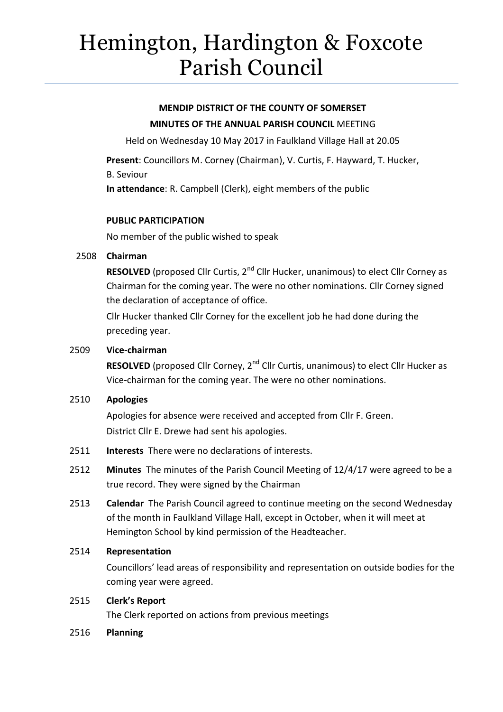# Hemington, Hardington & Foxcote Parish Council

# **MENDIP DISTRICT OF THE COUNTY OF SOMERSET MINUTES OF THE ANNUAL PARISH COUNCIL** MEETING

Held on Wednesday 10 May 2017 in Faulkland Village Hall at 20.05

**Present**: Councillors M. Corney (Chairman), V. Curtis, F. Hayward, T. Hucker, B. Seviour

**In attendance**: R. Campbell (Clerk), eight members of the public

# **PUBLIC PARTICIPATION**

No member of the public wished to speak

#### 2508 **Chairman**

**RESOLVED** (proposed Cllr Curtis, 2<sup>nd</sup> Cllr Hucker, unanimous) to elect Cllr Corney as Chairman for the coming year. The were no other nominations. Cllr Corney signed the declaration of acceptance of office.

Cllr Hucker thanked Cllr Corney for the excellent job he had done during the preceding year.

# 2509 **Vice-chairman**

**RESOLVED** (proposed Cllr Corney, 2<sup>nd</sup> Cllr Curtis, unanimous) to elect Cllr Hucker as Vice-chairman for the coming year. The were no other nominations.

# 2510 **Apologies**

Apologies for absence were received and accepted from Cllr F. Green. District Cllr E. Drewe had sent his apologies.

- 2511 **Interests** There were no declarations of interests.
- 2512 **Minutes** The minutes of the Parish Council Meeting of 12/4/17 were agreed to be a true record. They were signed by the Chairman
- 2513 **Calendar** The Parish Council agreed to continue meeting on the second Wednesday of the month in Faulkland Village Hall, except in October, when it will meet at Hemington School by kind permission of the Headteacher.

# 2514 **Representation**

Councillors' lead areas of responsibility and representation on outside bodies for the coming year were agreed.

#### 2515 **Clerk's Report**

The Clerk reported on actions from previous meetings

#### 2516 **Planning**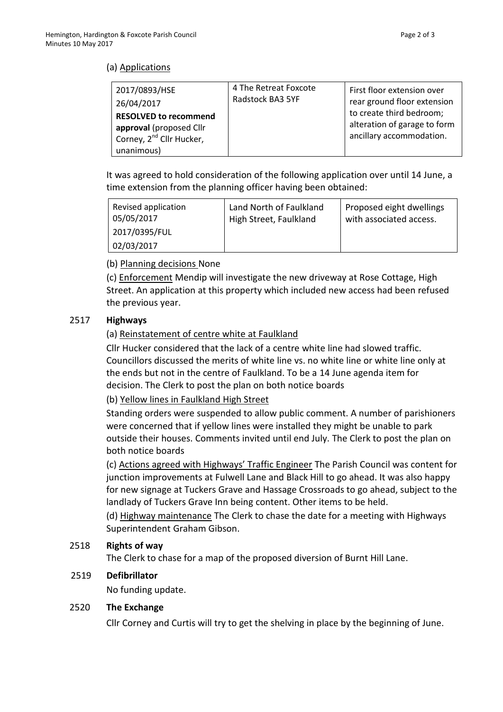# (a) Applications

| 2017/0893/HSE<br>26/04/2017                                                                                   | 4 The Retreat Foxcote<br>Radstock BA3 5YF | First floor extension over<br>rear ground floor extension                            |
|---------------------------------------------------------------------------------------------------------------|-------------------------------------------|--------------------------------------------------------------------------------------|
| <b>RESOLVED to recommend</b><br>approval (proposed Cllr<br>Corney, 2 <sup>nd</sup> Cllr Hucker,<br>unanimous) |                                           | to create third bedroom;<br>alteration of garage to form<br>ancillary accommodation. |

It was agreed to hold consideration of the following application over until 14 June, a time extension from the planning officer having been obtained:

| Revised application<br>05/05/2017 | Land North of Faulkland<br>High Street, Faulkland | Proposed eight dwellings<br>with associated access. |
|-----------------------------------|---------------------------------------------------|-----------------------------------------------------|
| 2017/0395/FUL                     |                                                   |                                                     |
| 02/03/2017                        |                                                   |                                                     |

#### (b) Planning decisions None

(c) Enforcement Mendip will investigate the new driveway at Rose Cottage, High Street. An application at this property which included new access had been refused the previous year.

#### 2517 **Highways**

# (a) Reinstatement of centre white at Faulkland

Cllr Hucker considered that the lack of a centre white line had slowed traffic. Councillors discussed the merits of white line vs. no white line or white line only at the ends but not in the centre of Faulkland. To be a 14 June agenda item for decision. The Clerk to post the plan on both notice boards

(b) Yellow lines in Faulkland High Street

Standing orders were suspended to allow public comment. A number of parishioners were concerned that if yellow lines were installed they might be unable to park outside their houses. Comments invited until end July. The Clerk to post the plan on both notice boards

(c) Actions agreed with Highways' Traffic Engineer The Parish Council was content for junction improvements at Fulwell Lane and Black Hill to go ahead. It was also happy for new signage at Tuckers Grave and Hassage Crossroads to go ahead, subject to the landlady of Tuckers Grave Inn being content. Other items to be held.

(d) Highway maintenance The Clerk to chase the date for a meeting with Highways Superintendent Graham Gibson.

#### 2518 **Rights of way**

The Clerk to chase for a map of the proposed diversion of Burnt Hill Lane.

#### 2519 **Defibrillator**

No funding update.

#### 2520 **The Exchange**

Cllr Corney and Curtis will try to get the shelving in place by the beginning of June.